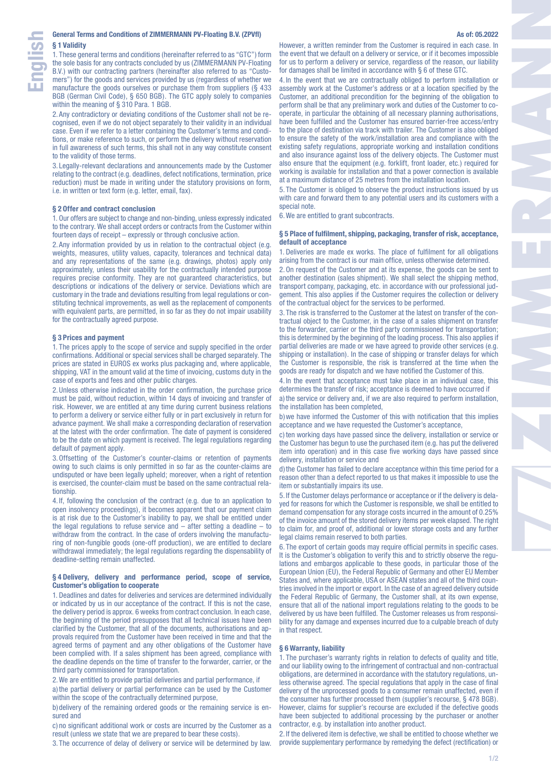1. These general terms and conditions (hereinafter referred to as "GTC") form the sole basis for any contracts concluded by us (ZIMMERMANN PV-Floating B.V.) with our contracting partners (hereinafter also referred to as "Customers") for the goods and services provided by us (regardless of whether we manufacture the goods ourselves or purchase them from suppliers (§ 433 BGB (German Civil Code), § 650 BGB). The GTC apply solely to companies within the meaning of § 310 Para. 1 BGB.

2. Any contradictory or deviating conditions of the Customer shall not be recognised, even if we do not object separately to their validity in an individual case. Even if we refer to a letter containing the Customer's terms and conditions, or make reference to such, or perform the delivery without reservation in full awareness of such terms, this shall not in any way constitute consent to the validity of those terms.

3. Legally-relevant declarations and announcements made by the Customer relating to the contract (e.g. deadlines, defect notifications, termination, price reduction) must be made in writing under the statutory provisions on form, i.e. in written or text form (e.g. letter, email, fax).

# **§ 2 Offer and contract conclusion**

1. Our offers are subject to change and non-binding, unless expressly indicated to the contrary. We shall accept orders or contracts from the Customer within fourteen days of receipt – expressly or through conclusive action.

2. Any information provided by us in relation to the contractual object (e.g. weights, measures, utility values, capacity, tolerances and technical data) and any representations of the same (e.g. drawings, photos) apply only approximately, unless their usability for the contractually intended purpose requires precise conformity. They are not guaranteed characteristics, but descriptions or indications of the delivery or service. Deviations which are customary in the trade and deviations resulting from legal regulations or constituting technical improvements, as well as the replacement of components with equivalent parts, are permitted, in so far as they do not impair usability for the contractually agreed purpose.

#### **§ 3 Prices and payment**

1. The prices apply to the scope of service and supply specified in the order confirmations. Additional or special services shall be charged separately. The prices are stated in EUROS ex works plus packaging and, where applicable, shipping. VAT in the amount valid at the time of invoicing, customs duty in the case of exports and fees and other public charges.

2. Unless otherwise indicated in the order confirmation, the purchase price must be paid, without reduction, within 14 days of invoicing and transfer of risk. However, we are entitled at any time during current business relations to perform a delivery or service either fully or in part exclusively in return for advance payment. We shall make a corresponding declaration of reservation at the latest with the order confirmation. The date of payment is considered to be the date on which payment is received. The legal regulations regarding default of payment apply.

3.Offsetting of the Customer's counter-claims or retention of payments owing to such claims is only permitted in so far as the counter-claims are undisputed or have been legally upheld; moreover, when a right of retention is exercised, the counter-claim must be based on the same contractual relationship.

4. If, following the conclusion of the contract (e.g. due to an application to open insolvency proceedings), it becomes apparent that our payment claim is at risk due to the Customer's inability to pay, we shall be entitled under the legal regulations to refuse service and  $-$  after setting a deadline  $-$  to withdraw from the contract. In the case of orders involving the manufacturing of non-fungible goods (one-off production), we are entitled to declare withdrawal immediately; the legal regulations regarding the dispensability of deadline-setting remain unaffected.

## **§ 4 Delivery, delivery and performance period, scope of service, Customer's obligation to cooperate**

1. Deadlines and dates for deliveries and services are determined individually or indicated by us in our acceptance of the contract. If this is not the case, the delivery period is approx. 6 weeks from contract conclusion. In each case, the beginning of the period presupposes that all technical issues have been clarified by the Customer, that all of the documents, authorisations and approvals required from the Customer have been received in time and that the agreed terms of payment and any other obligations of the Customer have been complied with. If a sales shipment has been agreed, compliance with the deadline depends on the time of transfer to the forwarder, carrier, or the third party commissioned for transportation.

2.We are entitled to provide partial deliveries and partial performance, if

a) the partial delivery or partial performance can be used by the Customer within the scope of the contractually determined purpose,

b)delivery of the remaining ordered goods or the remaining service is ensured and

c) no significant additional work or costs are incurred by the Customer as a result (unless we state that we are prepared to bear these costs).

3. The occurrence of delay of delivery or service will be determined by law.

However, a written reminder from the Customer is required in each case. In the event that we default on a delivery or service, or if it becomes impossible for us to perform a delivery or service, regardless of the reason, our liability for damages shall be limited in accordance with § 6 of these GTC.

4. In the event that we are contractually obliged to perform installation or assembly work at the Customer's address or at a location specified by the Customer, an additional precondition for the beginning of the obligation to perform shall be that any preliminary work and duties of the Customer to cooperate, in particular the obtaining of all necessary planning authorisations, have been fulfilled and the Customer has ensured barrier-free access/entry to the place of destination via track with trailer. The Customer is also obliged to ensure the safety of the work/installation area and compliance with the existing safety regulations, appropriate working and installation conditions and also insurance against loss of the delivery objects. The Customer must also ensure that the equipment (e.g. forklift, front loader, etc.) required for working is available for installation and that a power connection is available at a maximum distance of 25 metres from the installation location.

5. The Customer is obliged to observe the product instructions issued by us with care and forward them to any potential users and its customers with a special note.

6.We are entitled to grant subcontracts.

## **§ 5 Place of fulfilment, shipping, packaging, transfer of risk, acceptance, default of acceptance**

1. Deliveries are made ex works. The place of fulfilment for all obligations arising from the contract is our main office, unless otherwise determined.

2.On request of the Customer and at its expense, the goods can be sent to another destination (sales shipment). We shall select the shipping method, transport company, packaging, etc. in accordance with our professional judgement. This also applies if the Customer requires the collection or delivery of the contractual object for the services to be performed.

3. The risk is transferred to the Customer at the latest on transfer of the contractual object to the Customer, in the case of a sales shipment on transfer to the forwarder, carrier or the third party commissioned for transportation; this is determined by the beginning of the loading process. This also applies if partial deliveries are made or we have agreed to provide other services (e.g. shipping or installation). In the case of shipping or transfer delays for which the Customer is responsible, the risk is transferred at the time when the goods are ready for dispatch and we have notified the Customer of this.

4. In the event that acceptance must take place in an individual case, this determines the transfer of risk; acceptance is deemed to have occurred if

a) the service or delivery and, if we are also required to perform installation, the installation has been completed,

b)we have informed the Customer of this with notification that this implies acceptance and we have requested the Customer's acceptance,

c) ten working days have passed since the delivery, installation or service or the Customer has begun to use the purchased item (e.g. has put the delivered item into operation) and in this case five working days have passed since delivery, installation or service and

d)the Customer has failed to declare acceptance within this time period for a reason other than a defect reported to us that makes it impossible to use the item or substantially impairs its use.

5. If the Customer delays performance or acceptance or if the delivery is delayed for reasons for which the Customer is responsible, we shall be entitled to demand compensation for any storage costs incurred in the amount of 0.25% of the invoice amount of the stored delivery items per week elapsed. The right to claim for, and proof of, additional or lower storage costs and any further legal claims remain reserved to both parties.

6. The export of certain goods may require official permits in specific cases. It is the Customer's obligation to verify this and to strictly observe the regulations and embargos applicable to these goods, in particular those of the European Union (EU), the Federal Republic of Germany and other EU Member States and, where applicable, USA or ASEAN states and all of the third countries involved in the import or export. In the case of an agreed delivery outside the Federal Republic of Germany, the Customer shall, at its own expense, ensure that all of the national import regulations relating to the goods to be delivered by us have been fulfilled. The Customer releases us from responsibility for any damage and expenses incurred due to a culpable breach of duty in that respect.

#### **§ 6 Warranty, liability**

1. The purchaser's warranty rights in relation to defects of quality and title, and our liability owing to the infringement of contractual and non-contractual obligations, are determined in accordance with the statutory regulations, unless otherwise agreed. The special regulations that apply in the case of final delivery of the unprocessed goods to a consumer remain unaffected, even if the consumer has further processed them (supplier's recourse, § 478 BGB). However, claims for supplier's recourse are excluded if the defective goods have been subjected to additional processing by the purchaser or another contractor, e.g. by installation into another product.

2. If the delivered item is defective, we shall be entitled to choose whether we provide supplementary performance by remedying the defect (rectification) or